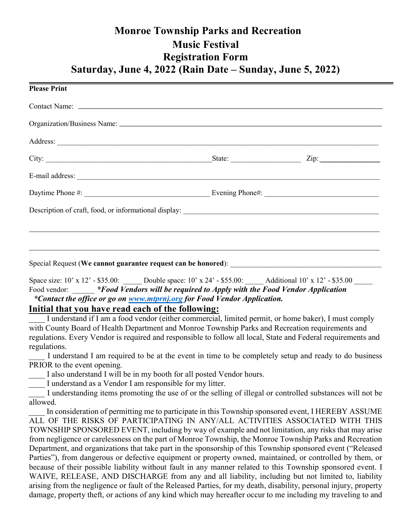# Monroe Township Parks and Recreation Music Festival Registration Form Saturday, June 4, 2022 (Rain Date – Sunday, June 5, 2022)

| <b>Please Print</b>                                                         |      |
|-----------------------------------------------------------------------------|------|
|                                                                             |      |
|                                                                             |      |
|                                                                             |      |
|                                                                             | Zip: |
|                                                                             |      |
|                                                                             |      |
|                                                                             |      |
|                                                                             |      |
|                                                                             |      |
| Special Request (We cannot guarantee request can be honored): _____________ |      |

Space size: 10' x 12' - \$35.00: Double space: 10' x 24' - \$55.00: Additional 10' x 12' - \$35.00 Food vendor: \* Food Vendors will be required to Apply with the Food Vendor Application \*Contact the office or go on www.mtprnj.org for Food Vendor Application.

### Initial that you have read each of the following:

I understand if I am a food vendor (either commercial, limited permit, or home baker), I must comply with County Board of Health Department and Monroe Township Parks and Recreation requirements and regulations. Every Vendor is required and responsible to follow all local, State and Federal requirements and regulations.

I understand I am required to be at the event in time to be completely setup and ready to do business PRIOR to the event opening.

I also understand I will be in my booth for all posted Vendor hours.

I understand as a Vendor I am responsible for my litter.

I understanding items promoting the use of or the selling of illegal or controlled substances will not be allowed.

In consideration of permitting me to participate in this Township sponsored event, I HEREBY ASSUME ALL OF THE RISKS OF PARTICIPATING IN ANY/ALL ACTIVITIES ASSOCIATED WITH THIS TOWNSHIP SPONSORED EVENT, including by way of example and not limitation, any risks that may arise from negligence or carelessness on the part of Monroe Township, the Monroe Township Parks and Recreation Department, and organizations that take part in the sponsorship of this Township sponsored event ("Released Parties"), from dangerous or defective equipment or property owned, maintained, or controlled by them, or because of their possible liability without fault in any manner related to this Township sponsored event. I WAIVE, RELEASE, AND DISCHARGE from any and all liability, including but not limited to, liability arising from the negligence or fault of the Released Parties, for my death, disability, personal injury, property damage, property theft, or actions of any kind which may hereafter occur to me including my traveling to and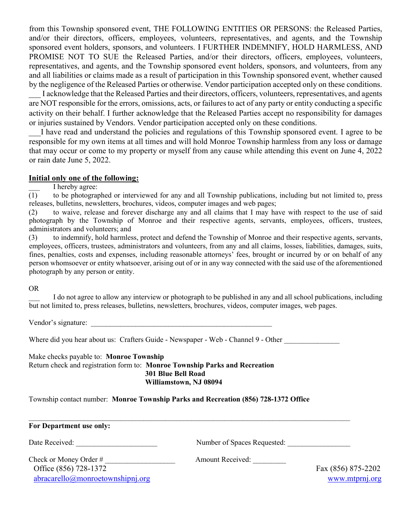from this Township sponsored event, THE FOLLOWING ENTITIES OR PERSONS: the Released Parties, and/or their directors, officers, employees, volunteers, representatives, and agents, and the Township sponsored event holders, sponsors, and volunteers. I FURTHER INDEMNIFY, HOLD HARMLESS, AND PROMISE NOT TO SUE the Released Parties, and/or their directors, officers, employees, volunteers, representatives, and agents, and the Township sponsored event holders, sponsors, and volunteers, from any and all liabilities or claims made as a result of participation in this Township sponsored event, whether caused by the negligence of the Released Parties or otherwise. Vendor participation accepted only on these conditions.

I acknowledge that the Released Parties and their directors, officers, volunteers, representatives, and agents are NOT responsible for the errors, omissions, acts, or failures to act of any party or entity conducting a specific activity on their behalf. I further acknowledge that the Released Parties accept no responsibility for damages or injuries sustained by Vendors. Vendor participation accepted only on these conditions.

I have read and understand the policies and regulations of this Township sponsored event. I agree to be responsible for my own items at all times and will hold Monroe Township harmless from any loss or damage that may occur or come to my property or myself from any cause while attending this event on June 4, 2022 or rain date June 5, 2022.

#### Initial only one of the following:

 $\overline{(1)}$  I hereby agree:<br>to be photograp

(1) to be photographed or interviewed for any and all Township publications, including but not limited to, press releases, bulletins, newsletters, brochures, videos, computer images and web pages;

(2) to waive, release and forever discharge any and all claims that I may have with respect to the use of said photograph by the Township of Monroe and their respective agents, servants, employees, officers, trustees, administrators and volunteers; and

(3) to indemnify, hold harmless, protect and defend the Township of Monroe and their respective agents, servants, employees, officers, trustees, administrators and volunteers, from any and all claims, losses, liabilities, damages, suits, fines, penalties, costs and expenses, including reasonable attorneys' fees, brought or incurred by or on behalf of any person whomsoever or entity whatsoever, arising out of or in any way connected with the said use of the aforementioned photograph by any person or entity.

OR

I do not agree to allow any interview or photograph to be published in any and all school publications, including but not limited to, press releases, bulletins, newsletters, brochures, videos, computer images, web pages.

Vendor's signature:

Where did you hear about us: Crafters Guide - Newspaper - Web - Channel 9 - Other

Make checks payable to: Monroe Township Return check and registration form to: Monroe Township Parks and Recreation 301 Blue Bell Road Williamstown, NJ 08094

Township contact number: Monroe Township Parks and Recreation (856) 728-1372 Office

| For Department use only:                     |                             |                    |
|----------------------------------------------|-----------------------------|--------------------|
| Date Received:                               | Number of Spaces Requested: |                    |
| Check or Money Order #                       | <b>Amount Received:</b>     |                    |
| Office (856) 728-1372                        |                             | Fax (856) 875-2202 |
| $abracarello(\partial)$ monroetownshipnj.org |                             | www.mtprnj.org     |

 $\_$  , and the contribution of the contribution of the contribution of the contribution of  $\mathcal{L}_\text{max}$